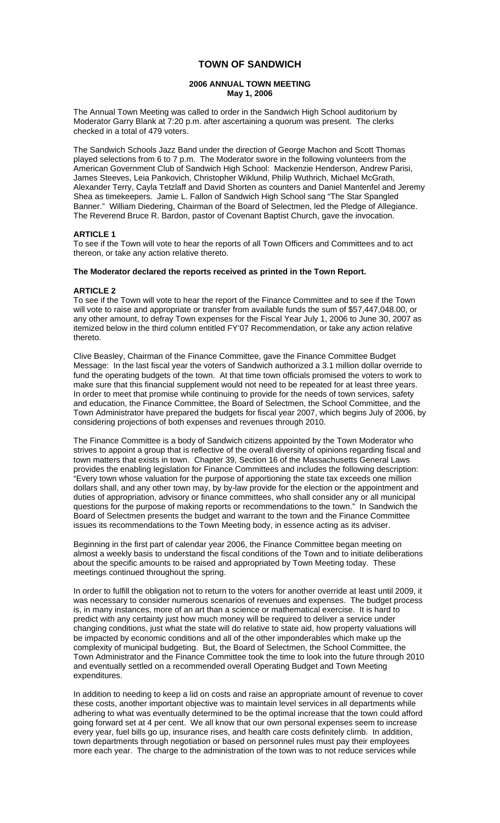# **TOWN OF SANDWICH**

## **2006 ANNUAL TOWN MEETING May 1, 2006**

The Annual Town Meeting was called to order in the Sandwich High School auditorium by Moderator Garry Blank at 7:20 p.m. after ascertaining a quorum was present. The clerks checked in a total of 479 voters.

The Sandwich Schools Jazz Band under the direction of George Machon and Scott Thomas played selections from 6 to 7 p.m. The Moderator swore in the following volunteers from the American Government Club of Sandwich High School: Mackenzie Henderson, Andrew Parisi, James Steeves, Leia Pankovich, Christopher Wiklund, Philip Wuthrich, Michael McGrath, Alexander Terry, Cayla Tetzlaff and David Shorten as counters and Daniel Mantenfel and Jeremy Shea as timekeepers. Jamie L. Fallon of Sandwich High School sang "The Star Spangled Banner." William Diedering, Chairman of the Board of Selectmen, led the Pledge of Allegiance. The Reverend Bruce R. Bardon, pastor of Covenant Baptist Church, gave the invocation.

## **ARTICLE 1**

To see if the Town will vote to hear the reports of all Town Officers and Committees and to act thereon, or take any action relative thereto.

## **The Moderator declared the reports received as printed in the Town Report.**

#### **ARTICLE 2**

To see if the Town will vote to hear the report of the Finance Committee and to see if the Town will vote to raise and appropriate or transfer from available funds the sum of \$57,447,048.00, or any other amount, to defray Town expenses for the Fiscal Year July 1, 2006 to June 30, 2007 as itemized below in the third column entitled FY'07 Recommendation, or take any action relative thereto.

Clive Beasley, Chairman of the Finance Committee, gave the Finance Committee Budget Message: In the last fiscal year the voters of Sandwich authorized a 3.1 million dollar override to fund the operating budgets of the town. At that time town officials promised the voters to work to make sure that this financial supplement would not need to be repeated for at least three years. In order to meet that promise while continuing to provide for the needs of town services, safety and education, the Finance Committee, the Board of Selectmen, the School Committee, and the Town Administrator have prepared the budgets for fiscal year 2007, which begins July of 2006, by considering projections of both expenses and revenues through 2010.

The Finance Committee is a body of Sandwich citizens appointed by the Town Moderator who strives to appoint a group that is reflective of the overall diversity of opinions regarding fiscal and town matters that exists in town. Chapter 39, Section 16 of the Massachusetts General Laws provides the enabling legislation for Finance Committees and includes the following description: "Every town whose valuation for the purpose of apportioning the state tax exceeds one million dollars shall, and any other town may, by by-law provide for the election or the appointment and duties of appropriation, advisory or finance committees, who shall consider any or all municipal questions for the purpose of making reports or recommendations to the town." In Sandwich the Board of Selectmen presents the budget and warrant to the town and the Finance Committee issues its recommendations to the Town Meeting body, in essence acting as its adviser.

Beginning in the first part of calendar year 2006, the Finance Committee began meeting on almost a weekly basis to understand the fiscal conditions of the Town and to initiate deliberations about the specific amounts to be raised and appropriated by Town Meeting today. These meetings continued throughout the spring.

In order to fulfill the obligation not to return to the voters for another override at least until 2009, it was necessary to consider numerous scenarios of revenues and expenses. The budget process is, in many instances, more of an art than a science or mathematical exercise. It is hard to predict with any certainty just how much money will be required to deliver a service under changing conditions, just what the state will do relative to state aid, how property valuations will be impacted by economic conditions and all of the other imponderables which make up the complexity of municipal budgeting. But, the Board of Selectmen, the School Committee, the Town Administrator and the Finance Committee took the time to look into the future through 2010 and eventually settled on a recommended overall Operating Budget and Town Meeting expenditures.

In addition to needing to keep a lid on costs and raise an appropriate amount of revenue to cover these costs, another important objective was to maintain level services in all departments while adhering to what was eventually determined to be the optimal increase that the town could afford going forward set at 4 per cent. We all know that our own personal expenses seem to increase every year, fuel bills go up, insurance rises, and health care costs definitely climb. In addition, town departments through negotiation or based on personnel rules must pay their employees more each year. The charge to the administration of the town was to not reduce services while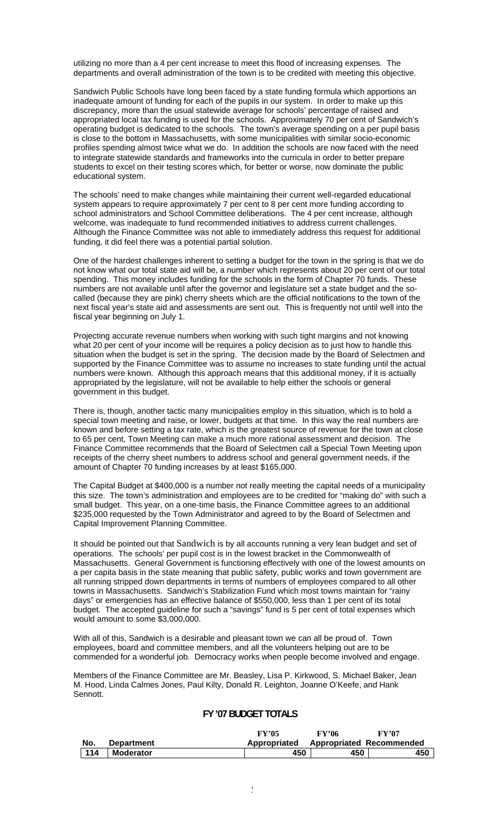utilizing no more than a 4 per cent increase to meet this flood of increasing expenses. The departments and overall administration of the town is to be credited with meeting this objective.

Sandwich Public Schools have long been faced by a state funding formula which apportions an inadequate amount of funding for each of the pupils in our system. In order to make up this discrepancy, more than the usual statewide average for schools' percentage of raised and appropriated local tax funding is used for the schools. Approximately 70 per cent of Sandwich's operating budget is dedicated to the schools. The town's average spending on a per pupil basis is close to the bottom in Massachusetts, with some municipalities with similar socio-economic profiles spending almost twice what we do. In addition the schools are now faced with the need to integrate statewide standards and frameworks into the curricula in order to better prepare students to excel on their testing scores which, for better or worse, now dominate the public educational system.

The schools' need to make changes while maintaining their current well-regarded educational system appears to require approximately 7 per cent to 8 per cent more funding according to school administrators and School Committee deliberations. The 4 per cent increase, although welcome, was inadequate to fund recommended initiatives to address current challenges. Although the Finance Committee was not able to immediately address this request for additional funding, it did feel there was a potential partial solution.

One of the hardest challenges inherent to setting a budget for the town in the spring is that we do not know what our total state aid will be, a number which represents about 20 per cent of our total spending. This money includes funding for the schools in the form of Chapter 70 funds. These numbers are not available until after the governor and legislature set a state budget and the socalled (because they are pink) cherry sheets which are the official notifications to the town of the next fiscal year's state aid and assessments are sent out. This is frequently not until well into the fiscal year beginning on July 1.

Projecting accurate revenue numbers when working with such tight margins and not knowing what 20 per cent of your income will be requires a policy decision as to just how to handle this situation when the budget is set in the spring. The decision made by the Board of Selectmen and supported by the Finance Committee was to assume no increases to state funding until the actual numbers were known. Although this approach means that this additional money, if it is actually appropriated by the legislature, will not be available to help either the schools or general government in this budget.

There is, though, another tactic many municipalities employ in this situation, which is to hold a special town meeting and raise, or lower, budgets at that time. In this way the real numbers are known and before setting a tax rate, which is the greatest source of revenue for the town at close to 65 per cent, Town Meeting can make a much more rational assessment and decision. The Finance Committee recommends that the Board of Selectmen call a Special Town Meeting upon receipts of the cherry sheet numbers to address school and general government needs, if the amount of Chapter 70 funding increases by at least \$165,000.

The Capital Budget at \$400,000 is a number not really meeting the capital needs of a municipality this size. The town's administration and employees are to be credited for "making do" with such a small budget. This year, on a one-time basis, the Finance Committee agrees to an additional \$235,000 requested by the Town Administrator and agreed to by the Board of Selectmen and Capital Improvement Planning Committee.

It should be pointed out that Sandwich is by all accounts running a very lean budget and set of operations. The schools' per pupil cost is in the lowest bracket in the Commonwealth of Massachusetts. General Government is functioning effectively with one of the lowest amounts on a per capita basis in the state meaning that public safety, public works and town government are all running stripped down departments in terms of numbers of employees compared to all other towns in Massachusetts. Sandwich's Stabilization Fund which most towns maintain for "rainy days" or emergencies has an effective balance of \$550,000, less than 1 per cent of its total budget. The accepted guideline for such a "savings" fund is 5 per cent of total expenses which would amount to some \$3,000,000.

With all of this, Sandwich is a desirable and pleasant town we can all be proud of. Town employees, board and committee members, and all the volunteers helping out are to be commended for a wonderful job. Democracy works when people become involved and engage.

Members of the Finance Committee are Mr. Beasley, Lisa P. Kirkwood, S. Michael Baker, Jean M. Hood, Linda Calmes Jones, Paul Kilty, Donald R. Leighton, Joanne O'Keefe, and Hank Sennott.

# **FY '07 BUDGET TOTALS**

|     |                   | FY'05        | FY'06 | FY'07                           |
|-----|-------------------|--------------|-------|---------------------------------|
| No. | <b>Department</b> | Appropriated |       | <b>Appropriated Recommended</b> |
| 114 | <b>Moderator</b>  | 450          | 450   | 450                             |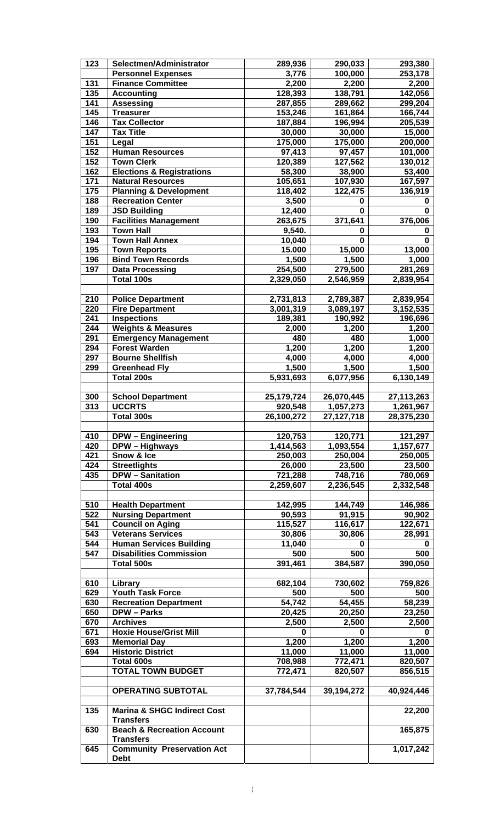| 123        | Selectmen/Administrator                                   | 289,936           | 290,033           | 293,380           |
|------------|-----------------------------------------------------------|-------------------|-------------------|-------------------|
|            | <b>Personnel Expenses</b>                                 | 3,776             | 100,000           | 253,178           |
| 131        | <b>Finance Committee</b>                                  | 2,200             | 2,200             | 2,200             |
| 135        | <b>Accounting</b>                                         | 128,393           | 138,791           | 142,056           |
| 141        | <b>Assessing</b>                                          | 287,855           | 289,662           | 299,204           |
| 145        | <b>Treasurer</b>                                          | 153,246           | 161,864           | 166,744           |
| 146        | <b>Tax Collector</b>                                      | 187,884           | 196,994           | 205,539           |
| 147        | <b>Tax Title</b>                                          | 30,000            | 30,000            | 15,000            |
| 151        | Legal                                                     | 175,000           | 175,000           | 200,000           |
| 152        | <b>Human Resources</b>                                    | 97,413            | 97,457            | 101,000           |
| 152<br>162 | <b>Town Clerk</b><br><b>Elections &amp; Registrations</b> | 120,389           | 127,562           | 130,012           |
| 171        | <b>Natural Resources</b>                                  | 58,300<br>105,651 | 38,900<br>107,930 | 53,400<br>167,597 |
| 175        | <b>Planning &amp; Development</b>                         | 118,402           | 122,475           | 136,919           |
| 188        | <b>Recreation Center</b>                                  | 3,500             | 0                 | 0                 |
| 189        | <b>JSD Building</b>                                       | 12,400            | $\bf{0}$          | $\mathbf 0$       |
| 190        | <b>Facilities Management</b>                              | 263,675           | 371,641           | 376,006           |
| 193        | <b>Town Hall</b>                                          | 9,540.            | 0                 | 0                 |
| 194        | <b>Town Hall Annex</b>                                    | 10,040            | $\bf{0}$          | $\mathbf 0$       |
| 195        | <b>Town Reports</b>                                       | 15.000            | 15,000            | 13,000            |
| 196        | <b>Bind Town Records</b>                                  | 1,500             | 1,500             | 1,000             |
| 197        | <b>Data Processing</b>                                    | 254,500           | 279,500           | 281,269           |
|            | Total 100s                                                | 2,329,050         | 2,546,959         | 2,839,954         |
|            |                                                           |                   |                   |                   |
| 210        | <b>Police Department</b>                                  | 2,731,813         | 2,789,387         | 2,839,954         |
| 220        | <b>Fire Department</b>                                    | 3,001,319         | 3,089,197         | 3, 152, 535       |
| 241        | <b>Inspections</b>                                        | 189,381           | 190,992           | 196,696           |
| 244        | <b>Weights &amp; Measures</b>                             | 2,000             | 1,200             | 1,200             |
| 291        | <b>Emergency Management</b>                               | 480               | 480               | 1,000             |
| 294        | <b>Forest Warden</b>                                      | 1,200             | 1,200             | 1,200             |
| 297        | <b>Bourne Shellfish</b>                                   | 4,000             | 4,000             | 4,000             |
| 299        | <b>Greenhead Fly</b>                                      | 1,500             | 1,500             | 1,500             |
|            | <b>Total 200s</b>                                         | 5,931,693         | 6,077,956         | 6,130,149         |
|            |                                                           |                   |                   |                   |
| 300        | <b>School Department</b>                                  | 25,179,724        | 26,070,445        | 27,113,263        |
| 313        | <b>UCCRTS</b>                                             | 920,548           | 1,057,273         | 1,261,967         |
|            | Total 300s                                                | 26,100,272        | 27, 127, 718      | 28,375,230        |
|            |                                                           |                   |                   |                   |
|            |                                                           |                   |                   |                   |
| 410        | <b>DPW</b> - Engineering                                  | 120,753           | 120,771           | 121,297           |
| 420        | <b>DPW - Highways</b>                                     | 1,414,563         | 1,093,554         | 1,157,677         |
| 421        | Snow & Ice                                                | 250,003           | 250,004           | 250,005           |
| 424        | <b>Streetlights</b>                                       | 26,000            | 23,500            | 23,500            |
| 435        | <b>DPW</b> – Sanitation                                   | 721,288           | 748,716           | 780,069           |
|            | <b>Total 400s</b>                                         | 2,259,607         | 2,236,545         | 2,332,548         |
|            |                                                           |                   |                   |                   |
| 510        | <b>Health Department</b>                                  | 142,995           | 144,749           | 146,986           |
| 522        | <b>Nursing Department</b>                                 | 90,593            | 91,915            | 90,902            |
| 541        | <b>Council on Aging</b>                                   | 115,527           | 116,617           | 122,671           |
| 543        | <b>Veterans Services</b>                                  | 30,806            | 30,806<br>0       | 28,991<br>0       |
| 544        | <b>Human Services Building</b>                            | 11,040            |                   |                   |
| 547        | <b>Disabilities Commission</b><br>Total 500s              | 500<br>391,461    | 500<br>384,587    | 500<br>390,050    |
|            |                                                           |                   |                   |                   |
| 610        | Library                                                   | 682,104           | 730,602           | 759,826           |
| 629        | <b>Youth Task Force</b>                                   | 500               | 500               | 500               |
| 630        | <b>Recreation Department</b>                              | 54,742            | 54,455            | 58,239            |
| 650        | <b>DPW-Parks</b>                                          | 20,425            | 20,250            | 23,250            |
| 670        | <b>Archives</b>                                           | 2,500             | 2,500             | 2,500             |
| 671        | <b>Hoxie House/Grist Mill</b>                             | 0                 | 0                 | 0                 |
| 693        | <b>Memorial Day</b>                                       | 1,200             | 1,200             | 1,200             |
| 694        | <b>Historic District</b>                                  | 11,000            | 11,000            | 11,000            |
|            | Total 600s                                                | 708,988           | 772,471           | 820,507           |
|            | <b>TOTAL TOWN BUDGET</b>                                  | 772,471           | 820,507           | 856,515           |
|            |                                                           |                   |                   |                   |
|            | <b>OPERATING SUBTOTAL</b>                                 | 37,784,544        | 39,194,272        | 40,924,446        |
|            |                                                           |                   |                   |                   |
| 135        | <b>Marina &amp; SHGC Indirect Cost</b>                    |                   |                   | 22,200            |
|            | <b>Transfers</b>                                          |                   |                   |                   |
| 630        | <b>Beach &amp; Recreation Account</b><br><b>Transfers</b> |                   |                   | 165,875           |
| 645        | <b>Community Preservation Act</b>                         |                   |                   | 1,017,242         |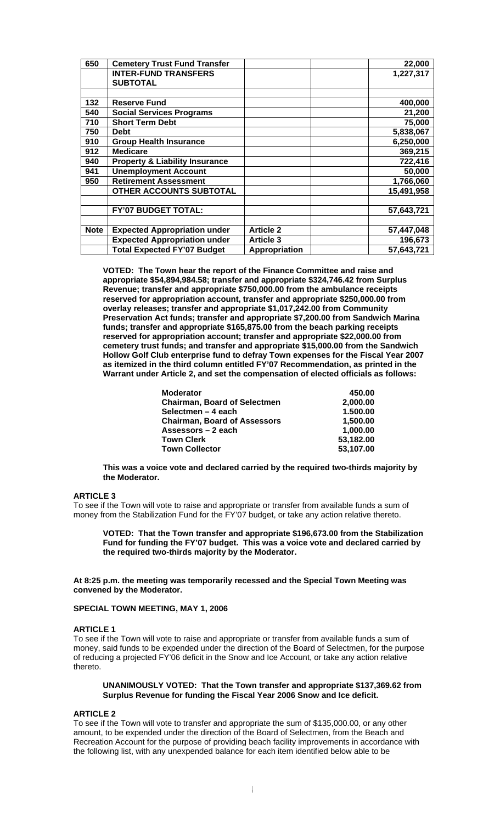| 650         | <b>Cemetery Trust Fund Transfer</b>       |                  | 22,000     |
|-------------|-------------------------------------------|------------------|------------|
|             | <b>INTER-FUND TRANSFERS</b>               |                  | 1,227,317  |
|             | <b>SUBTOTAL</b>                           |                  |            |
|             |                                           |                  |            |
| 132         | <b>Reserve Fund</b>                       |                  | 400,000    |
| 540         | <b>Social Services Programs</b>           |                  | 21,200     |
| 710         | <b>Short Term Debt</b>                    |                  | 75,000     |
| 750         | <b>Debt</b>                               |                  | 5,838,067  |
| 910         | <b>Group Health Insurance</b>             |                  | 6,250,000  |
| 912         | <b>Medicare</b>                           |                  | 369,215    |
| 940         | <b>Property &amp; Liability Insurance</b> |                  | 722,416    |
| 941         | <b>Unemployment Account</b>               |                  | 50,000     |
| 950         | <b>Retirement Assessment</b>              |                  | 1,766,060  |
|             | OTHER ACCOUNTS SUBTOTAL                   |                  | 15,491,958 |
|             |                                           |                  |            |
|             | <b>FY'07 BUDGET TOTAL:</b>                |                  | 57,643,721 |
|             |                                           |                  |            |
| <b>Note</b> | <b>Expected Appropriation under</b>       | <b>Article 2</b> | 57,447,048 |
|             | <b>Expected Appropriation under</b>       | <b>Article 3</b> | 196,673    |
|             | <b>Total Expected FY'07 Budget</b>        | Appropriation    | 57,643,721 |

**VOTED: The Town hear the report of the Finance Committee and raise and appropriate \$54,894,984.58; transfer and appropriate \$324,746.42 from Surplus Revenue; transfer and appropriate \$750,000.00 from the ambulance receipts reserved for appropriation account, transfer and appropriate \$250,000.00 from overlay releases; transfer and appropriate \$1,017,242.00 from Community Preservation Act funds; transfer and appropriate \$7,200.00 from Sandwich Marina funds; transfer and appropriate \$165,875.00 from the beach parking receipts reserved for appropriation account; transfer and appropriate \$22,000.00 from cemetery trust funds; and transfer and appropriate \$15,000.00 from the Sandwich Hollow Golf Club enterprise fund to defray Town expenses for the Fiscal Year 2007 as itemized in the third column entitled FY'07 Recommendation, as printed in the Warrant under Article 2, and set the compensation of elected officials as follows:** 

| <b>Moderator</b>                    | 450.00    |
|-------------------------------------|-----------|
| <b>Chairman, Board of Selectmen</b> | 2,000.00  |
| Selectmen – 4 each                  | 1.500.00  |
| <b>Chairman, Board of Assessors</b> | 1.500.00  |
| Assessors – 2 each                  | 1.000.00  |
| <b>Town Clerk</b>                   | 53,182.00 |
| <b>Town Collector</b>               | 53.107.00 |

**This was a voice vote and declared carried by the required two-thirds majority by the Moderator.** 

# **ARTICLE 3**

To see if the Town will vote to raise and appropriate or transfer from available funds a sum of money from the Stabilization Fund for the FY'07 budget, or take any action relative thereto.

**VOTED: That the Town transfer and appropriate \$196,673.00 from the Stabilization Fund for funding the FY'07 budget. This was a voice vote and declared carried by the required two-thirds majority by the Moderator.** 

**At 8:25 p.m. the meeting was temporarily recessed and the Special Town Meeting was convened by the Moderator.** 

## **SPECIAL TOWN MEETING, MAY 1, 2006**

#### **ARTICLE 1**

To see if the Town will vote to raise and appropriate or transfer from available funds a sum of money, said funds to be expended under the direction of the Board of Selectmen, for the purpose of reducing a projected FY'06 deficit in the Snow and Ice Account, or take any action relative thereto.

#### **UNANIMOUSLY VOTED: That the Town transfer and appropriate \$137,369.62 from Surplus Revenue for funding the Fiscal Year 2006 Snow and Ice deficit.**

#### **ARTICLE 2**

To see if the Town will vote to transfer and appropriate the sum of \$135,000.00, or any other amount, to be expended under the direction of the Board of Selectmen, from the Beach and Recreation Account for the purpose of providing beach facility improvements in accordance with the following list, with any unexpended balance for each item identified below able to be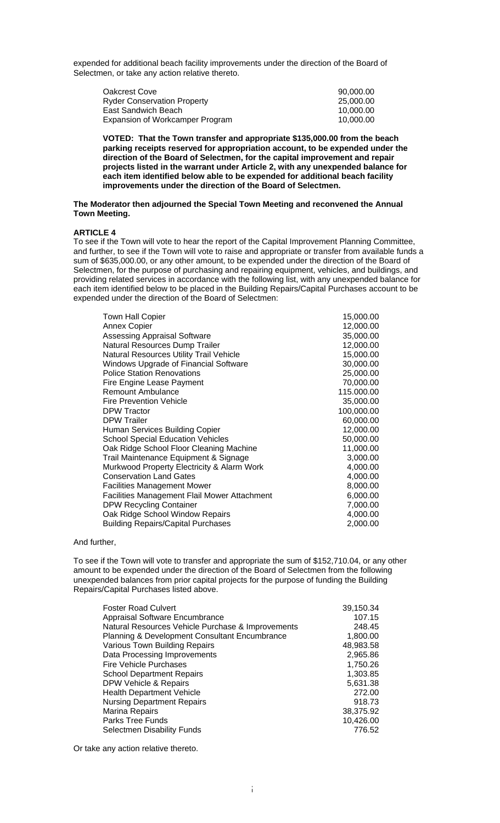expended for additional beach facility improvements under the direction of the Board of Selectmen, or take any action relative thereto.

| Oakcrest Cove                      | 90.000.00 |
|------------------------------------|-----------|
| <b>Ryder Conservation Property</b> | 25.000.00 |
| East Sandwich Beach                | 10.000.00 |
| Expansion of Workcamper Program    | 10.000.00 |

**VOTED: That the Town transfer and appropriate \$135,000.00 from the beach parking receipts reserved for appropriation account, to be expended under the direction of the Board of Selectmen, for the capital improvement and repair projects listed in the warrant under Article 2, with any unexpended balance for each item identified below able to be expended for additional beach facility improvements under the direction of the Board of Selectmen.** 

#### **The Moderator then adjourned the Special Town Meeting and reconvened the Annual Town Meeting.**

## **ARTICLE 4**

To see if the Town will vote to hear the report of the Capital Improvement Planning Committee, and further, to see if the Town will vote to raise and appropriate or transfer from available funds a sum of \$635,000.00, or any other amount, to be expended under the direction of the Board of Selectmen, for the purpose of purchasing and repairing equipment, vehicles, and buildings, and providing related services in accordance with the following list, with any unexpended balance for each item identified below to be placed in the Building Repairs/Capital Purchases account to be expended under the direction of the Board of Selectmen:

| <b>Town Hall Copier</b>                             | 15,000.00  |
|-----------------------------------------------------|------------|
| <b>Annex Copier</b>                                 | 12,000.00  |
| <b>Assessing Appraisal Software</b>                 | 35,000.00  |
| Natural Resources Dump Trailer                      | 12,000.00  |
| Natural Resources Utility Trail Vehicle             | 15,000.00  |
| Windows Upgrade of Financial Software               | 30,000.00  |
| <b>Police Station Renovations</b>                   | 25,000.00  |
| Fire Engine Lease Payment                           | 70,000.00  |
| <b>Remount Ambulance</b>                            | 115.000.00 |
| <b>Fire Prevention Vehicle</b>                      | 35,000.00  |
| <b>DPW Tractor</b>                                  | 100,000.00 |
| <b>DPW Trailer</b>                                  | 60,000.00  |
| Human Services Building Copier                      | 12,000.00  |
| <b>School Special Education Vehicles</b>            | 50,000.00  |
| Oak Ridge School Floor Cleaning Machine             | 11,000.00  |
| Trail Maintenance Equipment & Signage               | 3,000.00   |
| Murkwood Property Electricity & Alarm Work          | 4,000.00   |
| <b>Conservation Land Gates</b>                      | 4,000.00   |
| Facilities Management Mower                         | 8,000.00   |
| <b>Facilities Management Flail Mower Attachment</b> | 6,000.00   |
| <b>DPW Recycling Container</b>                      | 7,000.00   |
| Oak Ridge School Window Repairs                     | 4,000.00   |
| <b>Building Repairs/Capital Purchases</b>           | 2,000.00   |
|                                                     |            |

And further,

To see if the Town will vote to transfer and appropriate the sum of \$152,710.04, or any other amount to be expended under the direction of the Board of Selectmen from the following unexpended balances from prior capital projects for the purpose of funding the Building Repairs/Capital Purchases listed above.

| <b>Foster Road Culvert</b>                        | 39,150.34 |
|---------------------------------------------------|-----------|
| Appraisal Software Encumbrance                    | 107.15    |
| Natural Resources Vehicle Purchase & Improvements | 248.45    |
| Planning & Development Consultant Encumbrance     | 1,800.00  |
| Various Town Building Repairs                     | 48,983.58 |
| Data Processing Improvements                      | 2,965.86  |
| <b>Fire Vehicle Purchases</b>                     | 1,750.26  |
| <b>School Department Repairs</b>                  | 1,303.85  |
| DPW Vehicle & Repairs                             | 5,631.38  |
| <b>Health Department Vehicle</b>                  | 272.00    |
| <b>Nursing Department Repairs</b>                 | 918.73    |
| Marina Repairs                                    | 38,375.92 |
| <b>Parks Tree Funds</b>                           | 10,426.00 |
| Selectmen Disability Funds                        | 776.52    |
|                                                   |           |

Or take any action relative thereto.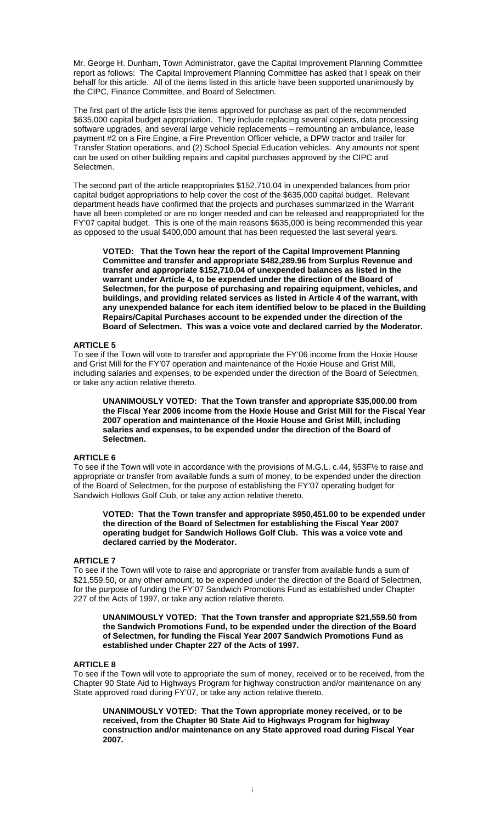Mr. George H. Dunham, Town Administrator, gave the Capital Improvement Planning Committee report as follows: The Capital Improvement Planning Committee has asked that I speak on their behalf for this article. All of the items listed in this article have been supported unanimously by the CIPC, Finance Committee, and Board of Selectmen.

The first part of the article lists the items approved for purchase as part of the recommended \$635,000 capital budget appropriation. They include replacing several copiers, data processing software upgrades, and several large vehicle replacements – remounting an ambulance, lease payment #2 on a Fire Engine, a Fire Prevention Officer vehicle, a DPW tractor and trailer for Transfer Station operations, and (2) School Special Education vehicles. Any amounts not spent can be used on other building repairs and capital purchases approved by the CIPC and Selectmen.

The second part of the article reappropriates \$152,710.04 in unexpended balances from prior capital budget appropriations to help cover the cost of the \$635,000 capital budget. Relevant department heads have confirmed that the projects and purchases summarized in the Warrant have all been completed or are no longer needed and can be released and reappropriated for the FY'07 capital budget. This is one of the main reasons \$635,000 is being recommended this year as opposed to the usual \$400,000 amount that has been requested the last several years.

**VOTED: That the Town hear the report of the Capital Improvement Planning Committee and transfer and appropriate \$482,289.96 from Surplus Revenue and transfer and appropriate \$152,710.04 of unexpended balances as listed in the warrant under Article 4, to be expended under the direction of the Board of Selectmen, for the purpose of purchasing and repairing equipment, vehicles, and buildings, and providing related services as listed in Article 4 of the warrant, with any unexpended balance for each item identified below to be placed in the Building Repairs/Capital Purchases account to be expended under the direction of the Board of Selectmen. This was a voice vote and declared carried by the Moderator.** 

# **ARTICLE 5**

To see if the Town will vote to transfer and appropriate the FY'06 income from the Hoxie House and Grist Mill for the FY'07 operation and maintenance of the Hoxie House and Grist Mill, including salaries and expenses, to be expended under the direction of the Board of Selectmen, or take any action relative thereto.

**UNANIMOUSLY VOTED: That the Town transfer and appropriate \$35,000.00 from the Fiscal Year 2006 income from the Hoxie House and Grist Mill for the Fiscal Year 2007 operation and maintenance of the Hoxie House and Grist Mill, including salaries and expenses, to be expended under the direction of the Board of Selectmen.** 

#### **ARTICLE 6**

To see if the Town will vote in accordance with the provisions of M.G.L. c.44, §53F½ to raise and appropriate or transfer from available funds a sum of money, to be expended under the direction of the Board of Selectmen, for the purpose of establishing the FY'07 operating budget for Sandwich Hollows Golf Club, or take any action relative thereto.

**VOTED: That the Town transfer and appropriate \$950,451.00 to be expended under the direction of the Board of Selectmen for establishing the Fiscal Year 2007 operating budget for Sandwich Hollows Golf Club. This was a voice vote and declared carried by the Moderator.** 

## **ARTICLE 7**

To see if the Town will vote to raise and appropriate or transfer from available funds a sum of \$21,559.50, or any other amount, to be expended under the direction of the Board of Selectmen, for the purpose of funding the FY'07 Sandwich Promotions Fund as established under Chapter 227 of the Acts of 1997, or take any action relative thereto.

**UNANIMOUSLY VOTED: That the Town transfer and appropriate \$21,559.50 from the Sandwich Promotions Fund, to be expended under the direction of the Board of Selectmen, for funding the Fiscal Year 2007 Sandwich Promotions Fund as established under Chapter 227 of the Acts of 1997.** 

## **ARTICLE 8**

To see if the Town will vote to appropriate the sum of money, received or to be received, from the Chapter 90 State Aid to Highways Program for highway construction and/or maintenance on any State approved road during FY'07, or take any action relative thereto.

**UNANIMOUSLY VOTED: That the Town appropriate money received, or to be received, from the Chapter 90 State Aid to Highways Program for highway construction and/or maintenance on any State approved road during Fiscal Year 2007.**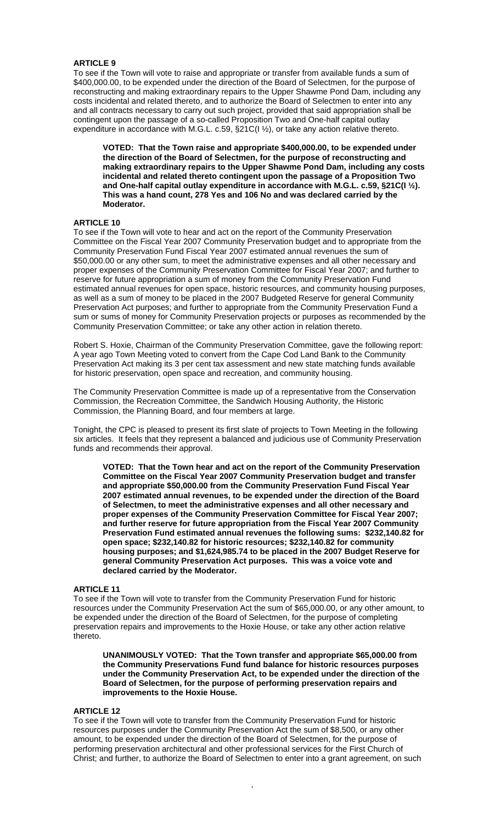## **ARTICLE 9**

To see if the Town will vote to raise and appropriate or transfer from available funds a sum of \$400,000.00, to be expended under the direction of the Board of Selectmen, for the purpose of reconstructing and making extraordinary repairs to the Upper Shawme Pond Dam, including any costs incidental and related thereto, and to authorize the Board of Selectmen to enter into any and all contracts necessary to carry out such project, provided that said appropriation shall be contingent upon the passage of a so-called Proposition Two and One-half capital outlay expenditure in accordance with M.G.L. c.59, §21C(I ½), or take any action relative thereto.

**VOTED: That the Town raise and appropriate \$400,000.00, to be expended under the direction of the Board of Selectmen, for the purpose of reconstructing and making extraordinary repairs to the Upper Shawme Pond Dam, including any costs incidental and related thereto contingent upon the passage of a Proposition Two and One-half capital outlay expenditure in accordance with M.G.L. c.59, §21C(I ½). This was a hand count, 278 Yes and 106 No and was declared carried by the Moderator.** 

#### **ARTICLE 10**

To see if the Town will vote to hear and act on the report of the Community Preservation Committee on the Fiscal Year 2007 Community Preservation budget and to appropriate from the Community Preservation Fund Fiscal Year 2007 estimated annual revenues the sum of \$50,000.00 or any other sum, to meet the administrative expenses and all other necessary and proper expenses of the Community Preservation Committee for Fiscal Year 2007; and further to reserve for future appropriation a sum of money from the Community Preservation Fund estimated annual revenues for open space, historic resources, and community housing purposes, as well as a sum of money to be placed in the 2007 Budgeted Reserve for general Community Preservation Act purposes; and further to appropriate from the Community Preservation Fund a sum or sums of money for Community Preservation projects or purposes as recommended by the Community Preservation Committee; or take any other action in relation thereto.

Robert S. Hoxie, Chairman of the Community Preservation Committee, gave the following report: A year ago Town Meeting voted to convert from the Cape Cod Land Bank to the Community Preservation Act making its 3 per cent tax assessment and new state matching funds available for historic preservation, open space and recreation, and community housing.

The Community Preservation Committee is made up of a representative from the Conservation Commission, the Recreation Committee, the Sandwich Housing Authority, the Historic Commission, the Planning Board, and four members at large.

Tonight, the CPC is pleased to present its first slate of projects to Town Meeting in the following six articles. It feels that they represent a balanced and judicious use of Community Preservation funds and recommends their approval.

**VOTED: That the Town hear and act on the report of the Community Preservation Committee on the Fiscal Year 2007 Community Preservation budget and transfer and appropriate \$50,000.00 from the Community Preservation Fund Fiscal Year 2007 estimated annual revenues, to be expended under the direction of the Board of Selectmen, to meet the administrative expenses and all other necessary and proper expenses of the Community Preservation Committee for Fiscal Year 2007; and further reserve for future appropriation from the Fiscal Year 2007 Community Preservation Fund estimated annual revenues the following sums: \$232,140.82 for open space; \$232,140.82 for historic resources; \$232,140.82 for community housing purposes; and \$1,624,985.74 to be placed in the 2007 Budget Reserve for general Community Preservation Act purposes. This was a voice vote and declared carried by the Moderator.** 

#### **ARTICLE 11**

To see if the Town will vote to transfer from the Community Preservation Fund for historic resources under the Community Preservation Act the sum of \$65,000.00, or any other amount, to be expended under the direction of the Board of Selectmen, for the purpose of completing preservation repairs and improvements to the Hoxie House, or take any other action relative thereto.

**UNANIMOUSLY VOTED: That the Town transfer and appropriate \$65,000.00 from the Community Preservations Fund fund balance for historic resources purposes under the Community Preservation Act, to be expended under the direction of the Board of Selectmen, for the purpose of performing preservation repairs and improvements to the Hoxie House.** 

## **ARTICLE 12**

To see if the Town will vote to transfer from the Community Preservation Fund for historic resources purposes under the Community Preservation Act the sum of \$8,500, or any other amount, to be expended under the direction of the Board of Selectmen, for the purpose of performing preservation architectural and other professional services for the First Church of Christ; and further, to authorize the Board of Selectmen to enter into a grant agreement, on such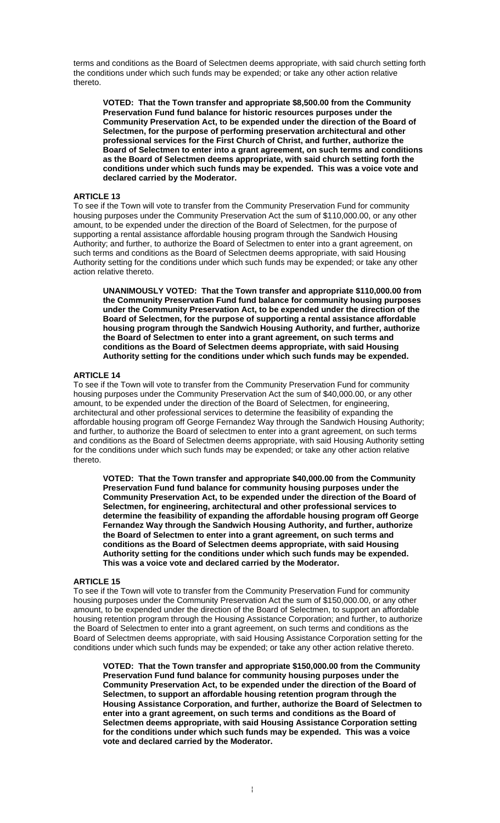terms and conditions as the Board of Selectmen deems appropriate, with said church setting forth the conditions under which such funds may be expended; or take any other action relative thereto.

**VOTED: That the Town transfer and appropriate \$8,500.00 from the Community Preservation Fund fund balance for historic resources purposes under the Community Preservation Act, to be expended under the direction of the Board of Selectmen, for the purpose of performing preservation architectural and other professional services for the First Church of Christ, and further, authorize the Board of Selectmen to enter into a grant agreement, on such terms and conditions as the Board of Selectmen deems appropriate, with said church setting forth the conditions under which such funds may be expended. This was a voice vote and declared carried by the Moderator.** 

#### **ARTICLE 13**

To see if the Town will vote to transfer from the Community Preservation Fund for community housing purposes under the Community Preservation Act the sum of \$110,000.00, or any other amount, to be expended under the direction of the Board of Selectmen, for the purpose of supporting a rental assistance affordable housing program through the Sandwich Housing Authority; and further, to authorize the Board of Selectmen to enter into a grant agreement, on such terms and conditions as the Board of Selectmen deems appropriate, with said Housing Authority setting for the conditions under which such funds may be expended; or take any other action relative thereto.

**UNANIMOUSLY VOTED: That the Town transfer and appropriate \$110,000.00 from the Community Preservation Fund fund balance for community housing purposes under the Community Preservation Act, to be expended under the direction of the Board of Selectmen, for the purpose of supporting a rental assistance affordable housing program through the Sandwich Housing Authority, and further, authorize the Board of Selectmen to enter into a grant agreement, on such terms and conditions as the Board of Selectmen deems appropriate, with said Housing Authority setting for the conditions under which such funds may be expended.** 

## **ARTICLE 14**

To see if the Town will vote to transfer from the Community Preservation Fund for community housing purposes under the Community Preservation Act the sum of \$40,000.00, or any other amount, to be expended under the direction of the Board of Selectmen, for engineering, architectural and other professional services to determine the feasibility of expanding the affordable housing program off George Fernandez Way through the Sandwich Housing Authority; and further, to authorize the Board of selectmen to enter into a grant agreement, on such terms and conditions as the Board of Selectmen deems appropriate, with said Housing Authority setting for the conditions under which such funds may be expended; or take any other action relative thereto.

**VOTED: That the Town transfer and appropriate \$40,000.00 from the Community Preservation Fund fund balance for community housing purposes under the Community Preservation Act, to be expended under the direction of the Board of Selectmen, for engineering, architectural and other professional services to determine the feasibility of expanding the affordable housing program off George Fernandez Way through the Sandwich Housing Authority, and further, authorize the Board of Selectmen to enter into a grant agreement, on such terms and conditions as the Board of Selectmen deems appropriate, with said Housing Authority setting for the conditions under which such funds may be expended. This was a voice vote and declared carried by the Moderator.** 

#### **ARTICLE 15**

To see if the Town will vote to transfer from the Community Preservation Fund for community housing purposes under the Community Preservation Act the sum of \$150,000.00, or any other amount, to be expended under the direction of the Board of Selectmen, to support an affordable housing retention program through the Housing Assistance Corporation; and further, to authorize the Board of Selectmen to enter into a grant agreement, on such terms and conditions as the Board of Selectmen deems appropriate, with said Housing Assistance Corporation setting for the conditions under which such funds may be expended; or take any other action relative thereto.

**VOTED: That the Town transfer and appropriate \$150,000.00 from the Community Preservation Fund fund balance for community housing purposes under the Community Preservation Act, to be expended under the direction of the Board of Selectmen, to support an affordable housing retention program through the Housing Assistance Corporation, and further, authorize the Board of Selectmen to enter into a grant agreement, on such terms and conditions as the Board of Selectmen deems appropriate, with said Housing Assistance Corporation setting for the conditions under which such funds may be expended. This was a voice vote and declared carried by the Moderator.**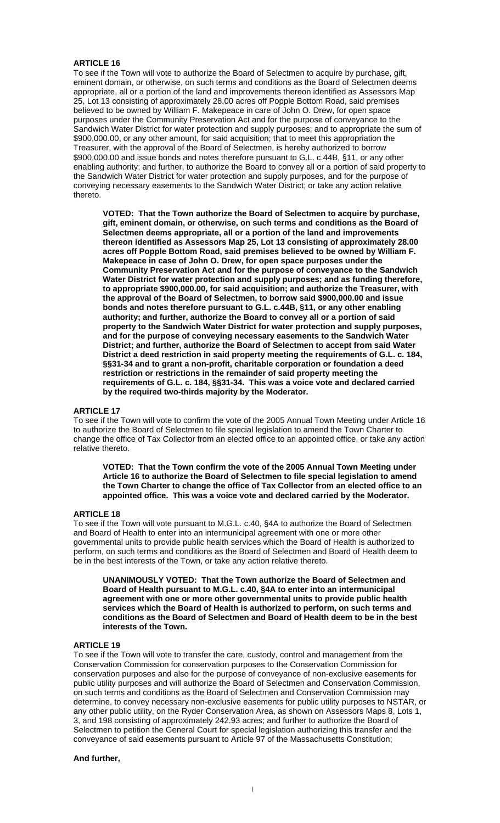## **ARTICLE 16**

To see if the Town will vote to authorize the Board of Selectmen to acquire by purchase, gift, eminent domain, or otherwise, on such terms and conditions as the Board of Selectmen deems appropriate, all or a portion of the land and improvements thereon identified as Assessors Map 25, Lot 13 consisting of approximately 28.00 acres off Popple Bottom Road, said premises believed to be owned by William F. Makepeace in care of John O. Drew, for open space purposes under the Community Preservation Act and for the purpose of conveyance to the Sandwich Water District for water protection and supply purposes; and to appropriate the sum of \$900,000.00, or any other amount, for said acquisition; that to meet this appropriation the Treasurer, with the approval of the Board of Selectmen, is hereby authorized to borrow \$900,000.00 and issue bonds and notes therefore pursuant to G.L. c.44B, §11, or any other enabling authority; and further, to authorize the Board to convey all or a portion of said property to the Sandwich Water District for water protection and supply purposes, and for the purpose of conveying necessary easements to the Sandwich Water District; or take any action relative thereto.

**VOTED: That the Town authorize the Board of Selectmen to acquire by purchase, gift, eminent domain, or otherwise, on such terms and conditions as the Board of Selectmen deems appropriate, all or a portion of the land and improvements thereon identified as Assessors Map 25, Lot 13 consisting of approximately 28.00 acres off Popple Bottom Road, said premises believed to be owned by William F. Makepeace in case of John O. Drew, for open space purposes under the Community Preservation Act and for the purpose of conveyance to the Sandwich Water District for water protection and supply purposes; and as funding therefore, to appropriate \$900,000.00, for said acquisition; and authorize the Treasurer, with the approval of the Board of Selectmen, to borrow said \$900,000.00 and issue bonds and notes therefore pursuant to G.L. c.44B, §11, or any other enabling authority; and further, authorize the Board to convey all or a portion of said property to the Sandwich Water District for water protection and supply purposes, and for the purpose of conveying necessary easements to the Sandwich Water District; and further, authorize the Board of Selectmen to accept from said Water District a deed restriction in said property meeting the requirements of G.L. c. 184, §§31-34 and to grant a non-profit, charitable corporation or foundation a deed restriction or restrictions in the remainder of said property meeting the requirements of G.L. c. 184, §§31-34. This was a voice vote and declared carried by the required two-thirds majority by the Moderator.** 

#### **ARTICLE 17**

To see if the Town will vote to confirm the vote of the 2005 Annual Town Meeting under Article 16 to authorize the Board of Selectmen to file special legislation to amend the Town Charter to change the office of Tax Collector from an elected office to an appointed office, or take any action relative thereto.

**VOTED: That the Town confirm the vote of the 2005 Annual Town Meeting under Article 16 to authorize the Board of Selectmen to file special legislation to amend the Town Charter to change the office of Tax Collector from an elected office to an appointed office. This was a voice vote and declared carried by the Moderator.** 

#### **ARTICLE 18**

To see if the Town will vote pursuant to M.G.L. c.40, §4A to authorize the Board of Selectmen and Board of Health to enter into an intermunicipal agreement with one or more other governmental units to provide public health services which the Board of Health is authorized to perform, on such terms and conditions as the Board of Selectmen and Board of Health deem to be in the best interests of the Town, or take any action relative thereto.

**UNANIMOUSLY VOTED: That the Town authorize the Board of Selectmen and Board of Health pursuant to M.G.L. c.40, §4A to enter into an intermunicipal agreement with one or more other governmental units to provide public health services which the Board of Health is authorized to perform, on such terms and conditions as the Board of Selectmen and Board of Health deem to be in the best interests of the Town.** 

#### **ARTICLE 19**

To see if the Town will vote to transfer the care, custody, control and management from the Conservation Commission for conservation purposes to the Conservation Commission for conservation purposes and also for the purpose of conveyance of non-exclusive easements for public utility purposes and will authorize the Board of Selectmen and Conservation Commission, on such terms and conditions as the Board of Selectmen and Conservation Commission may determine, to convey necessary non-exclusive easements for public utility purposes to NSTAR, or any other public utility, on the Ryder Conservation Area, as shown on Assessors Maps 8, Lots 1, 3, and 198 consisting of approximately 242.93 acres; and further to authorize the Board of Selectmen to petition the General Court for special legislation authorizing this transfer and the conveyance of said easements pursuant to Article 97 of the Massachusetts Constitution;

#### **And further,**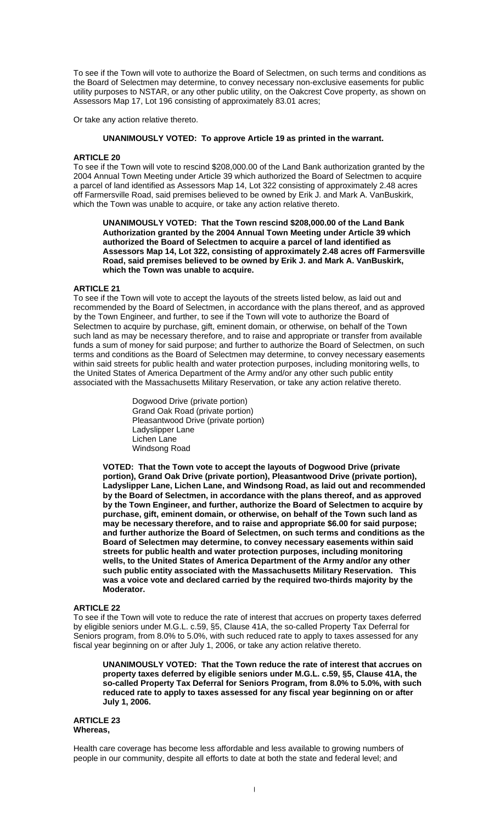To see if the Town will vote to authorize the Board of Selectmen, on such terms and conditions as the Board of Selectmen may determine, to convey necessary non-exclusive easements for public utility purposes to NSTAR, or any other public utility, on the Oakcrest Cove property, as shown on Assessors Map 17, Lot 196 consisting of approximately 83.01 acres;

Or take any action relative thereto.

## **UNANIMOUSLY VOTED: To approve Article 19 as printed in the warrant.**

## **ARTICLE 20**

To see if the Town will vote to rescind \$208,000.00 of the Land Bank authorization granted by the 2004 Annual Town Meeting under Article 39 which authorized the Board of Selectmen to acquire a parcel of land identified as Assessors Map 14, Lot 322 consisting of approximately 2.48 acres off Farmersville Road, said premises believed to be owned by Erik J. and Mark A. VanBuskirk, which the Town was unable to acquire, or take any action relative thereto.

 **UNANIMOUSLY VOTED: That the Town rescind \$208,000.00 of the Land Bank Authorization granted by the 2004 Annual Town Meeting under Article 39 which authorized the Board of Selectmen to acquire a parcel of land identified as Assessors Map 14, Lot 322, consisting of approximately 2.48 acres off Farmersville Road, said premises believed to be owned by Erik J. and Mark A. VanBuskirk, which the Town was unable to acquire.** 

## **ARTICLE 21**

To see if the Town will vote to accept the layouts of the streets listed below, as laid out and recommended by the Board of Selectmen, in accordance with the plans thereof, and as approved by the Town Engineer, and further, to see if the Town will vote to authorize the Board of Selectmen to acquire by purchase, gift, eminent domain, or otherwise, on behalf of the Town such land as may be necessary therefore, and to raise and appropriate or transfer from available funds a sum of money for said purpose; and further to authorize the Board of Selectmen, on such terms and conditions as the Board of Selectmen may determine, to convey necessary easements within said streets for public health and water protection purposes, including monitoring wells, to the United States of America Department of the Army and/or any other such public entity associated with the Massachusetts Military Reservation, or take any action relative thereto.

> Dogwood Drive (private portion) Grand Oak Road (private portion) Pleasantwood Drive (private portion) Ladyslipper Lane Lichen Lane Windsong Road

**VOTED: That the Town vote to accept the layouts of Dogwood Drive (private portion), Grand Oak Drive (private portion), Pleasantwood Drive (private portion), Ladyslipper Lane, Lichen Lane, and Windsong Road, as laid out and recommended by the Board of Selectmen, in accordance with the plans thereof, and as approved by the Town Engineer, and further, authorize the Board of Selectmen to acquire by purchase, gift, eminent domain, or otherwise, on behalf of the Town such land as may be necessary therefore, and to raise and appropriate \$6.00 for said purpose; and further authorize the Board of Selectmen, on such terms and conditions as the Board of Selectmen may determine, to convey necessary easements within said streets for public health and water protection purposes, including monitoring wells, to the United States of America Department of the Army and/or any other such public entity associated with the Massachusetts Military Reservation. This was a voice vote and declared carried by the required two-thirds majority by the Moderator.** 

#### **ARTICLE 22**

To see if the Town will vote to reduce the rate of interest that accrues on property taxes deferred by eligible seniors under M.G.L. c.59, §5, Clause 41A, the so-called Property Tax Deferral for Seniors program, from 8.0% to 5.0%, with such reduced rate to apply to taxes assessed for any fiscal year beginning on or after July 1, 2006, or take any action relative thereto.

**UNANIMOUSLY VOTED: That the Town reduce the rate of interest that accrues on property taxes deferred by eligible seniors under M.G.L. c.59, §5, Clause 41A, the so-called Property Tax Deferral for Seniors Program, from 8.0% to 5.0%, with such reduced rate to apply to taxes assessed for any fiscal year beginning on or after July 1, 2006.** 

#### **ARTICLE 23 Whereas,**

Health care coverage has become less affordable and less available to growing numbers of people in our community, despite all efforts to date at both the state and federal level; and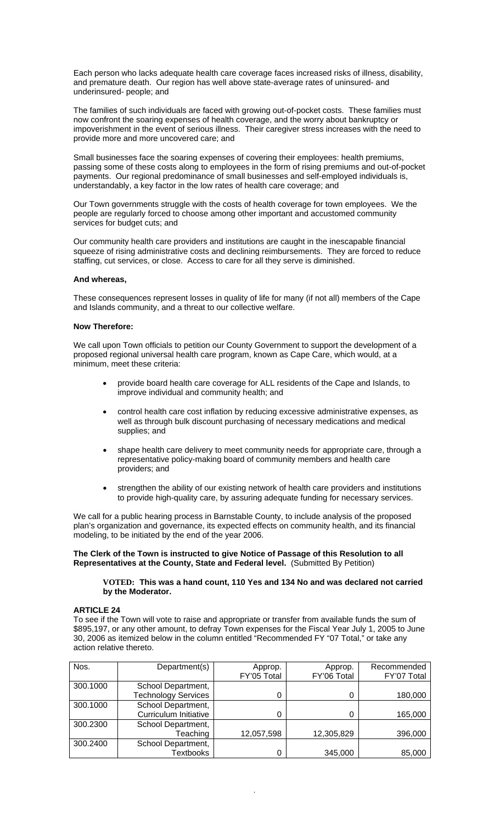Each person who lacks adequate health care coverage faces increased risks of illness, disability, and premature death. Our region has well above state-average rates of uninsured- and underinsured- people; and

The families of such individuals are faced with growing out-of-pocket costs. These families must now confront the soaring expenses of health coverage, and the worry about bankruptcy or impoverishment in the event of serious illness. Their caregiver stress increases with the need to provide more and more uncovered care; and

Small businesses face the soaring expenses of covering their employees: health premiums, passing some of these costs along to employees in the form of rising premiums and out-of-pocket payments. Our regional predominance of small businesses and self-employed individuals is, understandably, a key factor in the low rates of health care coverage; and

Our Town governments struggle with the costs of health coverage for town employees. We the people are regularly forced to choose among other important and accustomed community services for budget cuts; and

Our community health care providers and institutions are caught in the inescapable financial squeeze of rising administrative costs and declining reimbursements. They are forced to reduce staffing, cut services, or close. Access to care for all they serve is diminished.

#### **And whereas,**

These consequences represent losses in quality of life for many (if not all) members of the Cape and Islands community, and a threat to our collective welfare.

#### **Now Therefore:**

We call upon Town officials to petition our County Government to support the development of a proposed regional universal health care program, known as Cape Care, which would, at a minimum, meet these criteria:

- provide board health care coverage for ALL residents of the Cape and Islands, to improve individual and community health; and
- control health care cost inflation by reducing excessive administrative expenses, as well as through bulk discount purchasing of necessary medications and medical supplies; and
- shape health care delivery to meet community needs for appropriate care, through a representative policy-making board of community members and health care providers; and
- strengthen the ability of our existing network of health care providers and institutions to provide high-quality care, by assuring adequate funding for necessary services.

We call for a public hearing process in Barnstable County, to include analysis of the proposed plan's organization and governance, its expected effects on community health, and its financial modeling, to be initiated by the end of the year 2006.

#### **The Clerk of the Town is instructed to give Notice of Passage of this Resolution to all Representatives at the County, State and Federal level.** (Submitted By Petition)

#### **VOTED: This was a hand count, 110 Yes and 134 No and was declared not carried by the Moderator.**

#### **ARTICLE 24**

To see if the Town will vote to raise and appropriate or transfer from available funds the sum of \$895,197, or any other amount, to defray Town expenses for the Fiscal Year July 1, 2005 to June 30, 2006 as itemized below in the column entitled "Recommended FY "07 Total," or take any action relative thereto.

| Nos.     | Department(s)                | Approp.     | Approp.     | Recommended |
|----------|------------------------------|-------------|-------------|-------------|
|          |                              | FY'05 Total | FY'06 Total | FY'07 Total |
| 300.1000 | School Department,           |             |             |             |
|          | <b>Technology Services</b>   |             |             | 180,000     |
| 300.1000 | School Department,           |             |             |             |
|          | <b>Curriculum Initiative</b> |             |             | 165,000     |
| 300.2300 | School Department,           |             |             |             |
|          | Teaching                     | 12,057,598  | 12,305,829  | 396,000     |
| 300.2400 | School Department,           |             |             |             |
|          | <b>Textbooks</b>             |             | 345,000     | 85,000      |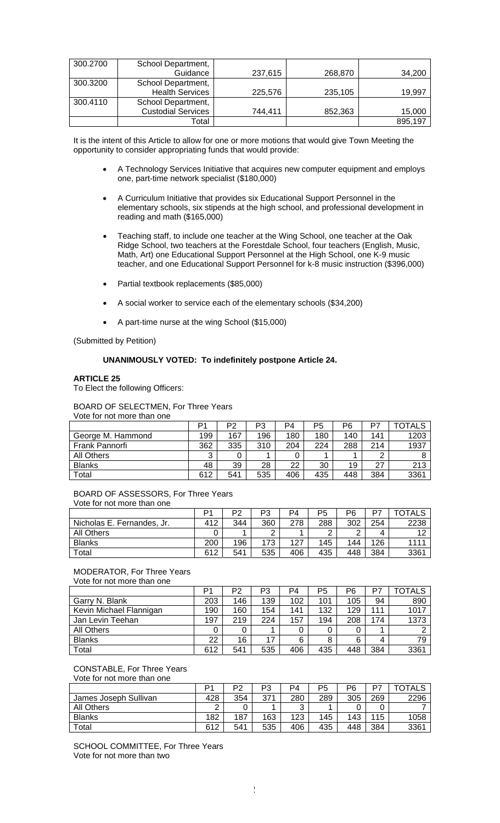| 300.2700 | School Department,        |         |         |         |
|----------|---------------------------|---------|---------|---------|
|          | Guidance                  | 237,615 | 268,870 | 34,200  |
| 300.3200 | School Department,        |         |         |         |
|          | <b>Health Services</b>    | 225,576 | 235,105 | 19,997  |
| 300.4110 | School Department,        |         |         |         |
|          | <b>Custodial Services</b> | 744.411 | 852,363 | 15,000  |
|          | Total                     |         |         | 895,197 |

It is the intent of this Article to allow for one or more motions that would give Town Meeting the opportunity to consider appropriating funds that would provide:

- A Technology Services Initiative that acquires new computer equipment and employs one, part-time network specialist (\$180,000)
- A Curriculum Initiative that provides six Educational Support Personnel in the elementary schools, six stipends at the high school, and professional development in reading and math (\$165,000)
- Teaching staff, to include one teacher at the Wing School, one teacher at the Oak Ridge School, two teachers at the Forestdale School, four teachers (English, Music, Math, Art) one Educational Support Personnel at the High School, one K-9 music teacher, and one Educational Support Personnel for k-8 music instruction (\$396,000)
- Partial textbook replacements (\$85,000)
- A social worker to service each of the elementary schools (\$34,200)
- A part-time nurse at the wing School (\$15,000)

(Submitted by Petition)

#### **UNANIMOUSLY VOTED: To indefinitely postpone Article 24.**

#### **ARTICLE 25**

To Elect the following Officers:

#### BOARD OF SELECTMEN, For Three Years

Vote for not more than one

|                   | D1  | P2  | P3  | P4  | P5  | P6  | P7  | TOTALS |
|-------------------|-----|-----|-----|-----|-----|-----|-----|--------|
| George M. Hammond | 199 | 167 | 196 | 180 | 180 | 140 | 141 | 1203   |
| Frank Pannorfi    | 362 | 335 | 310 | 204 | 224 | 288 | 214 | 1937   |
| All Others        | ົ   |     |     |     |     |     | ◠   |        |
| <b>Blanks</b>     | 48  | 39  | 28  | 22  | 30  | 19  | 27  | 213    |
| Total             | 612 | 541 | 535 | 406 | 435 | 448 | 384 | 3361   |

# BOARD OF ASSESSORS, For Three Years

Vote for not more than one

|                            | Þ۰  | מם  | P3  | P4  | P5  | P6  | D7  | TOTALS |
|----------------------------|-----|-----|-----|-----|-----|-----|-----|--------|
| Nicholas E. Fernandes, Jr. | 412 | 344 | 360 | 278 | 288 | 302 | 254 | 2238   |
| <b>All Others</b>          |     |     | ີ   |     | ◠   | ⌒   | 4   | 10     |
| <b>Blanks</b>              | 200 | 196 | 173 | 127 | 145 | 144 | 126 | 1111   |
| Total                      | 612 | 541 | 535 | 406 | 435 | 448 | 384 | 3361   |

# MODERATOR, For Three Years

Vote for not more than one P1 | P2 | P3 | P4 | P5 | P6 | P7 | TOTALS Garry N. Blank 203 | 146 | 139 | 102 | 101 | 105 | 94 | 890 Kevin Michael Flannigan | 190 | 160 | 154 | 141 | 132 | 129 | 111 | 1017 Jan Levin Teehan 197 | 219 | 224 | 157 | 194 | 208 | 174 | 1373 All Others 0 0 1 0 0 0 1 2 Blanks 22 16 17 6 8 6 4 79 Total 612 541 535 406 435 448 384 3361

#### CONSTABLE, For Three Years Vote for not more than one

|                       | Þ٠            | D⊆  | D٩<br>ن - | P4  | P5  | P6  | D7  | OTALS |
|-----------------------|---------------|-----|-----------|-----|-----|-----|-----|-------|
| James Joseph Sullivan | 428           | 354 | 371       | 280 | 289 | 305 | 269 | 2296  |
| All Others            | ◠<br><u>_</u> |     |           | っ   |     |     |     |       |
| <b>Blanks</b>         | 182           | 187 | 163       | 123 | 145 | 143 | 115 | 1058  |
| Total                 | 612           | 541 | 535       | 406 | 435 | 448 | 384 | 3361  |

SCHOOL COMMITTEE, For Three Years Vote for not more than two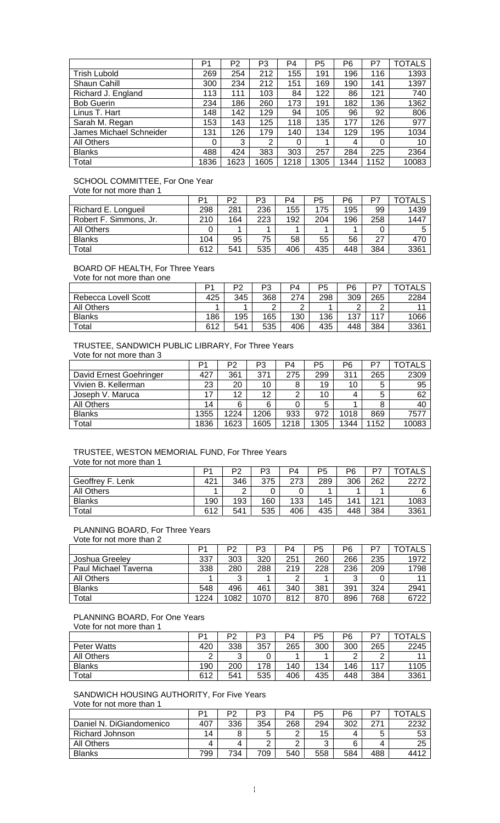|                         | P1   | P2   | P3   | P4   | P <sub>5</sub> | P6   | P7   | <b>TOTALS</b> |
|-------------------------|------|------|------|------|----------------|------|------|---------------|
| <b>Trish Lubold</b>     | 269  | 254  | 212  | 155  | 191            | 196  | 116  | 1393          |
| Shaun Cahill            | 300  | 234  | 212  | 151  | 169            | 190  | 141  | 1397          |
| Richard J. England      | 113  | 111  | 103  | 84   | 122            | 86   | 121  | 740           |
| <b>Bob Guerin</b>       | 234  | 186  | 260  | 173  | 191            | 182  | 136  | 1362          |
| Linus T. Hart           | 148  | 142  | 129  | 94   | 105            | 96   | 92   | 806           |
| Sarah M. Regan          | 153  | 143  | 125  | 118  | 135            | 177  | 126  | 977           |
| James Michael Schneider | 131  | 126  | 179  | 140  | 134            | 129  | 195  | 1034          |
| All Others              | 0    | 3    | 2    | 0    |                | 4    | 0    | 10            |
| <b>Blanks</b>           | 488  | 424  | 383  | 303  | 257            | 284  | 225  | 2364          |
| Total                   | 1836 | 1623 | 1605 | 1218 | 1305           | 1344 | 1152 | 10083         |

# SCHOOL COMMITTEE, For One Year

Vote for not more than 1

|                        | D٠  | P2  | P3  | P4  | P5  | Р6  |     | <b>OTALS</b> |
|------------------------|-----|-----|-----|-----|-----|-----|-----|--------------|
| Richard E. Longueil    | 298 | 281 | 236 | 155 | 175 | 195 | 99  | 1439         |
| Robert F. Simmons, Jr. | 210 | 164 | 223 | 192 | 204 | 196 | 258 | 1447         |
| All Others             |     |     |     |     |     |     |     |              |
| <b>Blanks</b>          | 104 | 95  | 75  | 58  | 55  | 56  | 27  | 470          |
| Total                  | 612 | 541 | 535 | 406 | 435 | 448 | 384 | 3361         |

#### BOARD OF HEALTH, For Three Years

Vote for not more than one

|                      | D1  | מם  | פת<br>ט ו | P4            | P5  | P6  | לס  | <b>OTALS</b> |
|----------------------|-----|-----|-----------|---------------|-----|-----|-----|--------------|
| Rebecca Lovell Scott | 425 | 345 | 368       | 274           | 298 | 309 | 265 | 2284         |
| <b>All Others</b>    |     |     | ◠<br>L    | ◠<br><u>.</u> |     | ⌒   | ⌒   | 11           |
| <b>Blanks</b>        | 186 | 195 | 165       | 130           | 136 | 137 | 117 | 1066         |
| Total                | 612 | 541 | 535       | 406           | 435 | 448 | 384 | 3361         |

### TRUSTEE, SANDWICH PUBLIC LIBRARY, For Three Years Vote for not more than 3

|                         | P1   | P2   | P3                | P4   | P5   | Р6   | P7   | OTALS |
|-------------------------|------|------|-------------------|------|------|------|------|-------|
| David Ernest Goehringer | 427  | 361  | 371               | 275  | 299  | 311  | 265  | 2309  |
| Vivien B. Kellerman     | 23   | 20   | 10                | 8    | 19   | 10   | 5    | 95    |
| Joseph V. Maruca        | 17   | 12   | $12 \overline{ }$ |      | 10   |      | 5    | 62    |
| All Others              | 14   | 6    | 6                 |      | 5    |      | 8    | 40    |
| <b>Blanks</b>           | 1355 | 1224 | 1206              | 933  | 972  | 1018 | 869  | 7577  |
| Total                   | 1836 | 1623 | 1605              | 1218 | 1305 | 1344 | 1152 | 10083 |

## TRUSTEE, WESTON MEMORIAL FUND, For Three Years Vote for not more than 1

|                       | D <sub>1</sub> | מם  | P3  | P4  | P5  | P6  | D7  | <b>OTALS</b> |
|-----------------------|----------------|-----|-----|-----|-----|-----|-----|--------------|
| Geoffrey<br>F<br>Lenk | 421            | 346 | 375 | 273 | 289 | 306 | 262 | 2272         |
| <b>All Others</b>     |                | ◠   |     |     |     |     |     |              |
| <b>Blanks</b>         | 190            | 193 | 160 | 133 | 145 | 141 | 121 | 1083         |
| Total                 | 612            | 541 | 535 | 406 | 435 | 448 | 384 | 3361         |

# PLANNING BOARD, For Three Years

Vote for not more than 2

|                      | D <sub>1</sub> | P2   | P3   | P4  | P5  | P6  | D7  | <b>OTALS</b> |
|----------------------|----------------|------|------|-----|-----|-----|-----|--------------|
| Joshua Greelev       | 337            | 303  | 320  | 251 | 260 | 266 | 235 | 1972         |
| Paul Michael Taverna | 338            | 280  | 288  | 219 | 228 | 236 | 209 | 1798         |
| All Others           |                | ົ    |      | ົ   |     |     |     | 11           |
| <b>Blanks</b>        | 548            | 496  | 461  | 340 | 381 | 391 | 324 | 2941         |
| Total                | 1224           | 1082 | 1070 | 812 | 870 | 896 | 768 | 6722         |

# PLANNING BOARD, For One Years

Vote for not more than 1

|                    | D1  | P2     | P3  | P4  | P5  | P6  | דם  | <b>OTALS</b> |
|--------------------|-----|--------|-----|-----|-----|-----|-----|--------------|
| <b>Peter Watts</b> | 420 | 338    | 357 | 265 | 300 | 300 | 265 | 2245         |
| All Others         |     | ົ<br>ັ |     |     |     |     | ◠   | 44           |
| <b>Blanks</b>      | 190 | 200    | 178 | 140 | 134 | 146 | 117 | 1105         |
| Total              | 612 | 541    | 535 | 406 | 435 | 448 | 384 | 3361         |

## SANDWICH HOUSING AUTHORITY, For Five Years Vote for not more than 1

|                          | D.  | P2  | P3  | P4  | P5  | P6  | דם     | TOTALS |
|--------------------------|-----|-----|-----|-----|-----|-----|--------|--------|
| Daniel N. DiGiandomenico | 407 | 336 | 354 | 268 | 294 | 302 | 271    | 2232   |
| Richard Johnson          | 14  |     |     | ົ   | 15  | 4   | г<br>J | 53     |
| All Others               | 4   | 4   |     | ⌒   | ⌒   |     | 4      | 25     |
| <b>Blanks</b>            | 799 | 734 | 709 | 540 | 558 | 584 | 488    | 4412   |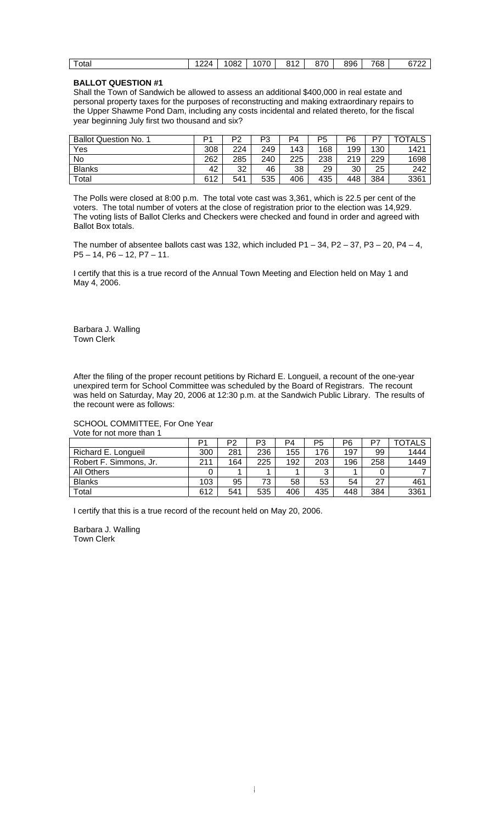| 1070<br>896<br>768<br>870<br>1082<br>040<br>"ו מ<br>otal<br>. .<br>o<br>O.<br>$\sim$<br><u>__</u><br>. |
|--------------------------------------------------------------------------------------------------------|
|--------------------------------------------------------------------------------------------------------|

# **BALLOT QUESTION #1**

Shall the Town of Sandwich be allowed to assess an additional \$400,000 in real estate and personal property taxes for the purposes of reconstructing and making extraordinary repairs to the Upper Shawme Pond Dam, including any costs incidental and related thereto, for the fiscal year beginning July first two thousand and six?

| <b>Ballot Question No. 1</b> | D <sub>1</sub> | מם  | Ωים<br>ن - | P4  | P5  | P6  | D7  | <b>TOTALS</b> |
|------------------------------|----------------|-----|------------|-----|-----|-----|-----|---------------|
| Yes                          | 308            | 224 | 249        | 143 | 168 | 199 | 130 | 1421          |
| No                           | 262            | 285 | 240        | 225 | 238 | 219 | 229 | 1698          |
| <b>Blanks</b>                | 42             | 32  | 46         | 38  | 29  | 30  | 25  | 242           |
| Total                        | 612            | 541 | 535        | 406 | 435 | 448 | 384 | 3361          |

The Polls were closed at 8:00 p.m. The total vote cast was 3,361, which is 22.5 per cent of the voters. The total number of voters at the close of registration prior to the election was 14,929. The voting lists of Ballot Clerks and Checkers were checked and found in order and agreed with Ballot Box totals.

The number of absentee ballots cast was 132, which included  $P1 - 34$ ,  $P2 - 37$ ,  $P3 - 20$ ,  $P4 - 4$ , P5 – 14, P6 – 12, P7 – 11.

I certify that this is a true record of the Annual Town Meeting and Election held on May 1 and May 4, 2006.

Barbara J. Walling Town Clerk

After the filing of the proper recount petitions by Richard E. Longueil, a recount of the one-year unexpired term for School Committee was scheduled by the Board of Registrars. The recount was held on Saturday, May 20, 2006 at 12:30 p.m. at the Sandwich Public Library. The results of the recount were as follows:

#### SCHOOL COMMITTEE, For One Year Vote for not more than 1

|                        | P1  | P <sub>2</sub> | P3  | P4  | P5  | P6  |     | TOTALS |
|------------------------|-----|----------------|-----|-----|-----|-----|-----|--------|
| Richard E. Longueil    | 300 | 281            | 236 | 155 | 176 | 197 | 99  | 1444   |
| Robert F. Simmons, Jr. | 211 | 164            | 225 | 192 | 203 | 196 | 258 | 1449   |
| All Others             |     |                |     |     | ົ   |     |     |        |
| <b>Blanks</b>          | 103 | 95             | 73  | 58  | 53  | 54  | 27  | 461    |
| Total                  | 612 | 541            | 535 | 406 | 435 | 448 | 384 | 3361   |

I certify that this is a true record of the recount held on May 20, 2006.

Barbara J. Walling Town Clerk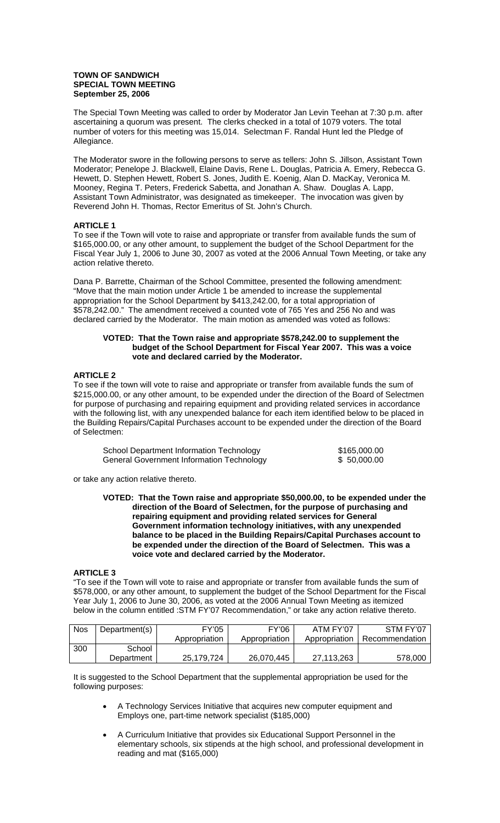#### **TOWN OF SANDWICH SPECIAL TOWN MEETING September 25, 2006**

The Special Town Meeting was called to order by Moderator Jan Levin Teehan at 7:30 p.m. after ascertaining a quorum was present. The clerks checked in a total of 1079 voters. The total number of voters for this meeting was 15,014. Selectman F. Randal Hunt led the Pledge of Allegiance.

The Moderator swore in the following persons to serve as tellers: John S. Jillson, Assistant Town Moderator; Penelope J. Blackwell, Elaine Davis, Rene L. Douglas, Patricia A. Emery, Rebecca G. Hewett, D. Stephen Hewett, Robert S. Jones, Judith E. Koenig, Alan D. MacKay, Veronica M. Mooney, Regina T. Peters, Frederick Sabetta, and Jonathan A. Shaw. Douglas A. Lapp, Assistant Town Administrator, was designated as timekeeper. The invocation was given by Reverend John H. Thomas, Rector Emeritus of St. John's Church.

## **ARTICLE 1**

To see if the Town will vote to raise and appropriate or transfer from available funds the sum of \$165,000.00, or any other amount, to supplement the budget of the School Department for the Fiscal Year July 1, 2006 to June 30, 2007 as voted at the 2006 Annual Town Meeting, or take any action relative thereto.

Dana P. Barrette, Chairman of the School Committee, presented the following amendment: "Move that the main motion under Article 1 be amended to increase the supplemental appropriation for the School Department by \$413,242.00, for a total appropriation of \$578,242.00." The amendment received a counted vote of 765 Yes and 256 No and was declared carried by the Moderator. The main motion as amended was voted as follows:

#### **VOTED: That the Town raise and appropriate \$578,242.00 to supplement the budget of the School Department for Fiscal Year 2007. This was a voice vote and declared carried by the Moderator.**

#### **ARTICLE 2**

To see if the town will vote to raise and appropriate or transfer from available funds the sum of \$215,000.00, or any other amount, to be expended under the direction of the Board of Selectmen for purpose of purchasing and repairing equipment and providing related services in accordance with the following list, with any unexpended balance for each item identified below to be placed in the Building Repairs/Capital Purchases account to be expended under the direction of the Board of Selectmen:

| School Department Information Technology         | \$165,000.00 |
|--------------------------------------------------|--------------|
| <b>General Government Information Technology</b> | \$50,000.00  |

or take any action relative thereto.

**VOTED: That the Town raise and appropriate \$50,000.00, to be expended under the direction of the Board of Selectmen, for the purpose of purchasing and repairing equipment and providing related services for General Government information technology initiatives, with any unexpended balance to be placed in the Building Repairs/Capital Purchases account to be expended under the direction of the Board of Selectmen. This was a voice vote and declared carried by the Moderator.** 

#### **ARTICLE 3**

"To see if the Town will vote to raise and appropriate or transfer from available funds the sum of \$578,000, or any other amount, to supplement the budget of the School Department for the Fiscal Year July 1, 2006 to June 30, 2006, as voted at the 2006 Annual Town Meeting as itemized below in the column entitled :STM FY'07 Recommendation," or take any action relative thereto.

| <b>Nos</b> | Department(s) | <b>FY'05</b>  | <b>FY'06</b>  | ATM FY'07     | STM FY'07      |
|------------|---------------|---------------|---------------|---------------|----------------|
|            |               | Appropriation | Appropriation | Appropriation | Recommendation |
| 300        | School        |               |               |               |                |
|            | Department    | 25,179,724    | 26,070,445    | 27.113.263    | 578,000        |

It is suggested to the School Department that the supplemental appropriation be used for the following purposes:

- A Technology Services Initiative that acquires new computer equipment and Employs one, part-time network specialist (\$185,000)
- A Curriculum Initiative that provides six Educational Support Personnel in the elementary schools, six stipends at the high school, and professional development in reading and mat (\$165,000)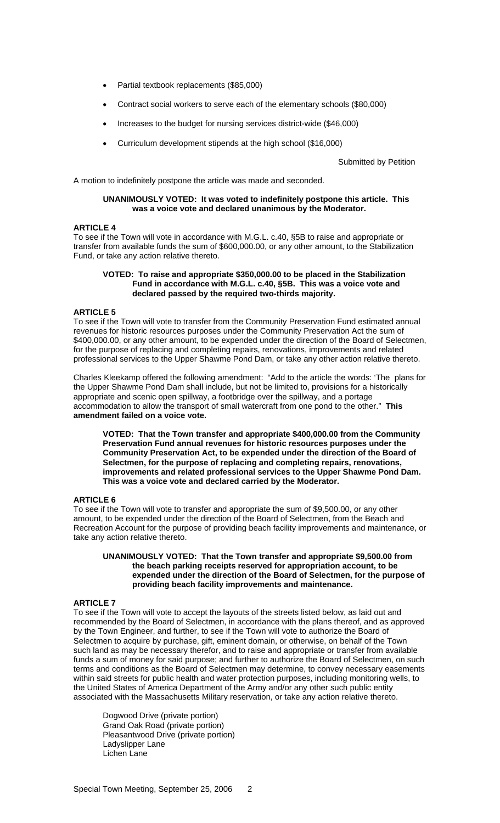- Partial textbook replacements (\$85,000)
- Contract social workers to serve each of the elementary schools (\$80,000)
- Increases to the budget for nursing services district-wide (\$46,000)
- Curriculum development stipends at the high school (\$16,000)

Submitted by Petition

A motion to indefinitely postpone the article was made and seconded.

### **UNANIMOUSLY VOTED: It was voted to indefinitely postpone this article. This was a voice vote and declared unanimous by the Moderator.**

## **ARTICLE 4**

To see if the Town will vote in accordance with M.G.L. c.40, §5B to raise and appropriate or transfer from available funds the sum of \$600,000.00, or any other amount, to the Stabilization Fund, or take any action relative thereto.

## **VOTED: To raise and appropriate \$350,000.00 to be placed in the Stabilization Fund in accordance with M.G.L. c.40, §5B. This was a voice vote and declared passed by the required two-thirds majority.**

## **ARTICLE 5**

To see if the Town will vote to transfer from the Community Preservation Fund estimated annual revenues for historic resources purposes under the Community Preservation Act the sum of \$400,000.00, or any other amount, to be expended under the direction of the Board of Selectmen, for the purpose of replacing and completing repairs, renovations, improvements and related professional services to the Upper Shawme Pond Dam, or take any other action relative thereto.

Charles Kleekamp offered the following amendment: "Add to the article the words: 'The plans for the Upper Shawme Pond Dam shall include, but not be limited to, provisions for a historically appropriate and scenic open spillway, a footbridge over the spillway, and a portage accommodation to allow the transport of small watercraft from one pond to the other." **This amendment failed on a voice vote.**

**VOTED: That the Town transfer and appropriate \$400,000.00 from the Community Preservation Fund annual revenues for historic resources purposes under the Community Preservation Act, to be expended under the direction of the Board of Selectmen, for the purpose of replacing and completing repairs, renovations, improvements and related professional services to the Upper Shawme Pond Dam. This was a voice vote and declared carried by the Moderator.** 

# **ARTICLE 6**

To see if the Town will vote to transfer and appropriate the sum of \$9,500.00, or any other amount, to be expended under the direction of the Board of Selectmen, from the Beach and Recreation Account for the purpose of providing beach facility improvements and maintenance, or take any action relative thereto.

#### **UNANIMOUSLY VOTED: That the Town transfer and appropriate \$9,500.00 from the beach parking receipts reserved for appropriation account, to be expended under the direction of the Board of Selectmen, for the purpose of providing beach facility improvements and maintenance.**

#### **ARTICLE 7**

To see if the Town will vote to accept the layouts of the streets listed below, as laid out and recommended by the Board of Selectmen, in accordance with the plans thereof, and as approved by the Town Engineer, and further, to see if the Town will vote to authorize the Board of Selectmen to acquire by purchase, gift, eminent domain, or otherwise, on behalf of the Town such land as may be necessary therefor, and to raise and appropriate or transfer from available funds a sum of money for said purpose; and further to authorize the Board of Selectmen, on such terms and conditions as the Board of Selectmen may determine, to convey necessary easements within said streets for public health and water protection purposes, including monitoring wells, to the United States of America Department of the Army and/or any other such public entity associated with the Massachusetts Military reservation, or take any action relative thereto.

 Dogwood Drive (private portion) Grand Oak Road (private portion) Pleasantwood Drive (private portion) Ladyslipper Lane Lichen Lane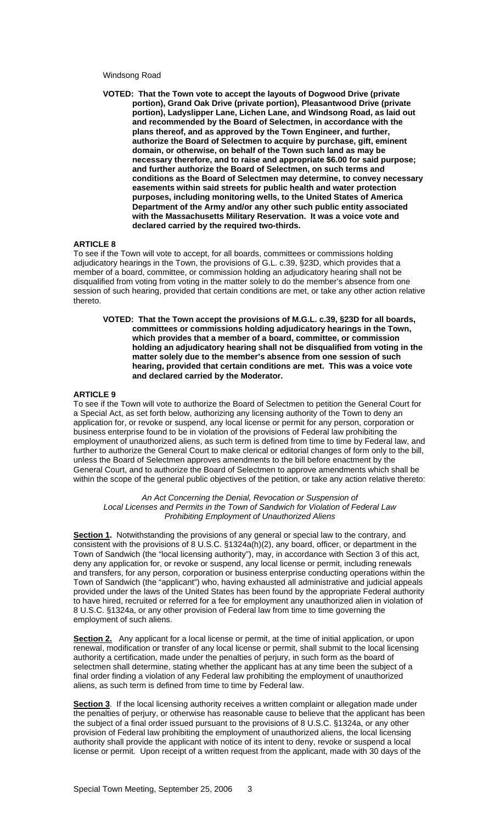## Windsong Road

**VOTED: That the Town vote to accept the layouts of Dogwood Drive (private portion), Grand Oak Drive (private portion), Pleasantwood Drive (private portion), Ladyslipper Lane, Lichen Lane, and Windsong Road, as laid out and recommended by the Board of Selectmen, in accordance with the plans thereof, and as approved by the Town Engineer, and further, authorize the Board of Selectmen to acquire by purchase, gift, eminent domain, or otherwise, on behalf of the Town such land as may be necessary therefore, and to raise and appropriate \$6.00 for said purpose; and further authorize the Board of Selectmen, on such terms and conditions as the Board of Selectmen may determine, to convey necessary easements within said streets for public health and water protection purposes, including monitoring wells, to the United States of America Department of the Army and/or any other such public entity associated with the Massachusetts Military Reservation. It was a voice vote and declared carried by the required two-thirds.** 

#### **ARTICLE 8**

To see if the Town will vote to accept, for all boards, committees or commissions holding adjudicatory hearings in the Town, the provisions of G.L. c.39, §23D, which provides that a member of a board, committee, or commission holding an adjudicatory hearing shall not be disqualified from voting from voting in the matter solely to do the member's absence from one session of such hearing, provided that certain conditions are met, or take any other action relative thereto.

**VOTED: That the Town accept the provisions of M.G.L. c.39, §23D for all boards, committees or commissions holding adjudicatory hearings in the Town, which provides that a member of a board, committee, or commission holding an adjudicatory hearing shall not be disqualified from voting in the matter solely due to the member's absence from one session of such hearing, provided that certain conditions are met. This was a voice vote and declared carried by the Moderator.** 

#### **ARTICLE 9**

To see if the Town will vote to authorize the Board of Selectmen to petition the General Court for a Special Act, as set forth below, authorizing any licensing authority of the Town to deny an application for, or revoke or suspend, any local license or permit for any person, corporation or business enterprise found to be in violation of the provisions of Federal law prohibiting the employment of unauthorized aliens, as such term is defined from time to time by Federal law, and further to authorize the General Court to make clerical or editorial changes of form only to the bill, unless the Board of Selectmen approves amendments to the bill before enactment by the General Court, and to authorize the Board of Selectmen to approve amendments which shall be within the scope of the general public objectives of the petition, or take any action relative thereto:

*An Act Concerning the Denial, Revocation or Suspension of Local Licenses and Permits in the Town of Sandwich for Violation of Federal Law Prohibiting Employment of Unauthorized Aliens* 

**Section 1.** Notwithstanding the provisions of any general or special law to the contrary, and consistent with the provisions of 8 U.S.C. §1324a(h)(2), any board, officer, or department in the Town of Sandwich (the "local licensing authority"), may, in accordance with Section 3 of this act, deny any application for, or revoke or suspend, any local license or permit, including renewals and transfers, for any person, corporation or business enterprise conducting operations within the Town of Sandwich (the "applicant") who, having exhausted all administrative and judicial appeals provided under the laws of the United States has been found by the appropriate Federal authority to have hired, recruited or referred for a fee for employment any unauthorized alien in violation of 8 U.S.C. §1324a, or any other provision of Federal law from time to time governing the employment of such aliens.

**Section 2.** Any applicant for a local license or permit, at the time of initial application, or upon renewal, modification or transfer of any local license or permit, shall submit to the local licensing authority a certification, made under the penalties of perjury, in such form as the board of selectmen shall determine, stating whether the applicant has at any time been the subject of a final order finding a violation of any Federal law prohibiting the employment of unauthorized aliens, as such term is defined from time to time by Federal law.

Section 3. If the local licensing authority receives a written complaint or allegation made under the penalties of perjury, or otherwise has reasonable cause to believe that the applicant has been the subject of a final order issued pursuant to the provisions of 8 U.S.C. §1324a, or any other provision of Federal law prohibiting the employment of unauthorized aliens, the local licensing authority shall provide the applicant with notice of its intent to deny, revoke or suspend a local license or permit. Upon receipt of a written request from the applicant, made with 30 days of the